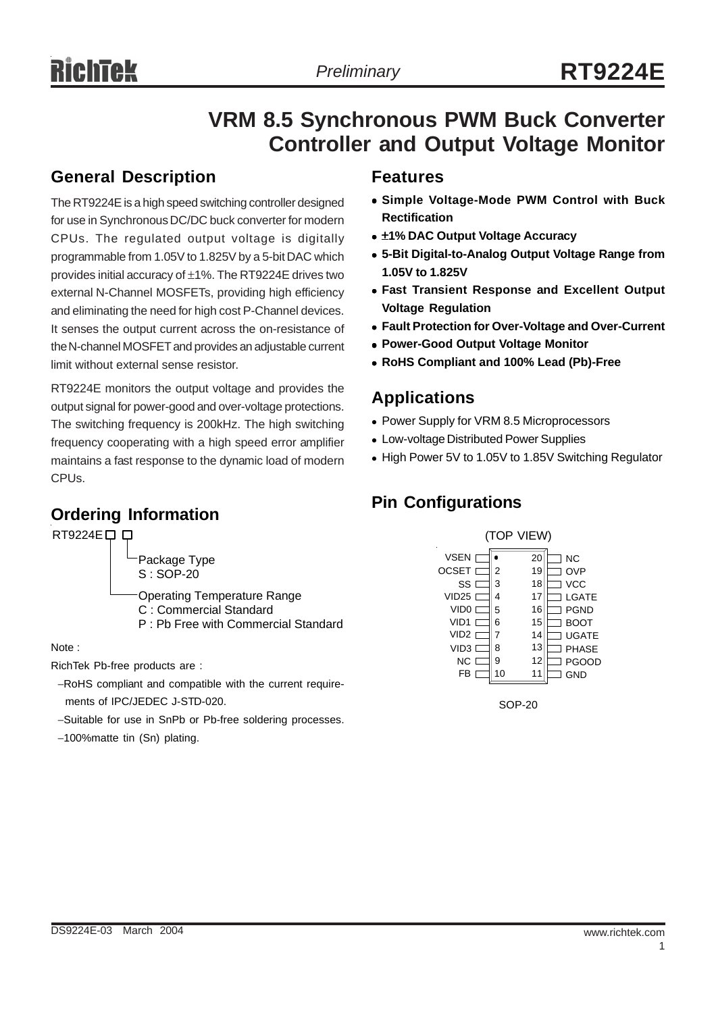# **VRM 8.5 Synchronous PWM Buck Converter Controller and Output Voltage Monitor**

## **General Description**

The RT9224E is a high speed switching controller designed for use in Synchronous DC/DC buck converter for modern CPUs. The regulated output voltage is digitally programmable from 1.05V to 1.825V by a 5-bit DAC which provides initial accuracy of ±1%. The RT9224E drives two external N-Channel MOSFETs, providing high efficiency and eliminating the need for high cost P-Channel devices. It senses the output current across the on-resistance of the N-channel MOSFET and provides an adjustable current limit without external sense resistor.

RT9224E monitors the output voltage and provides the output signal for power-good and over-voltage protections. The switching frequency is 200kHz. The high switching frequency cooperating with a high speed error amplifier maintains a fast response to the dynamic load of modern CPUs.

## **Ordering Information**

#### RT9224E<sub>D</sub>D Package Type

S : SOP-20 Operating Temperature Range

- C : Commercial Standard
- P : Pb Free with Commercial Standard

#### Note :

RichTek Pb-free products are :

- −RoHS compliant and compatible with the current require ments of IPC/JEDEC J-STD-020.
- −Suitable for use in SnPb or Pb-free soldering processes.
- −100%matte tin (Sn) plating.

#### **Features**

- <sup>z</sup> **Simple Voltage-Mode PWM Control with Buck Rectification**
- $\bullet$  **±1% DAC Output Voltage Accuracy**
- $\bullet$  **5-Bit Digital-to-Analog Output Voltage Range from 1.05V to 1.825V**
- **Fast Transient Response and Excellent Output Voltage Regulation**
- **Fault Protection for Over-Voltage and Over-Current**
- **Power-Good Output Voltage Monitor**
- <sup>z</sup> **RoHS Compliant and 100% Lead (Pb)-Free**

#### **Applications**

- Power Supply for VRM 8.5 Microprocessors
- Low-voltage Distributed Power Supplies
- High Power 5V to 1.05V to 1.85V Switching Regulator

### **Pin Configurations**



SOP-20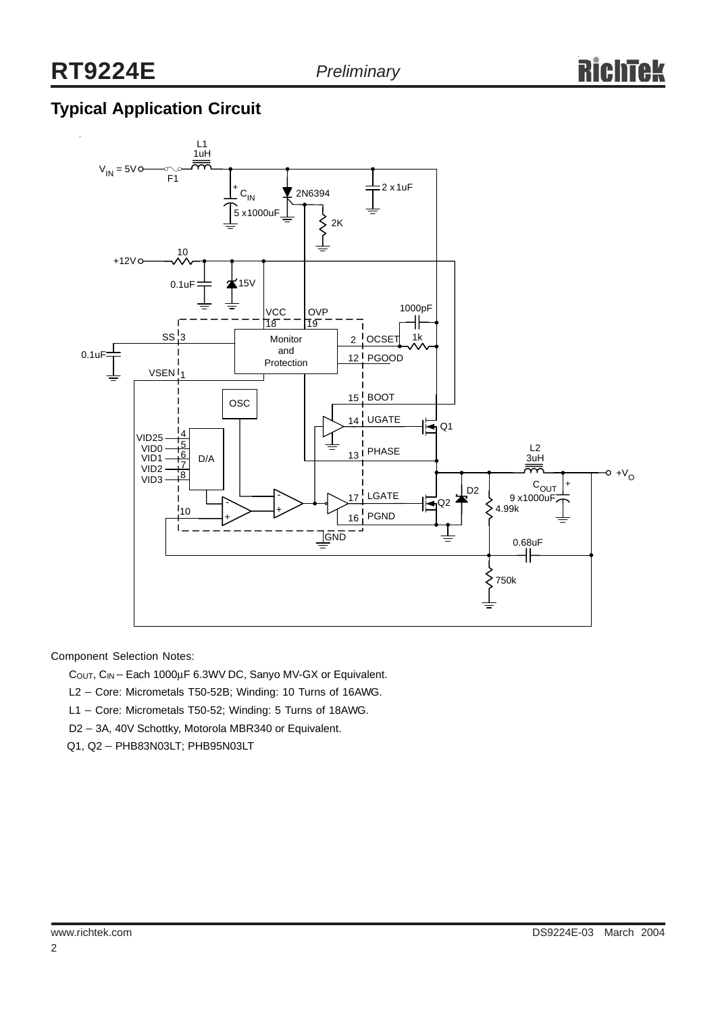## **Typical Application Circuit**



Component Selection Notes:

C<sub>OUT</sub>, C<sub>IN</sub> − Each 1000µF 6.3WV DC, Sanyo MV-GX or Equivalent.

L2 - Core: Micrometals T50-52B; Winding: 10 Turns of 16AWG.

L1 – Core: Micrometals T50-52; Winding: 5 Turns of 18AWG.

D2 − 3A, 40V Schottky, Motorola MBR340 or Equivalent.

Q1, Q2 − PHB83N03LT; PHB95N03LT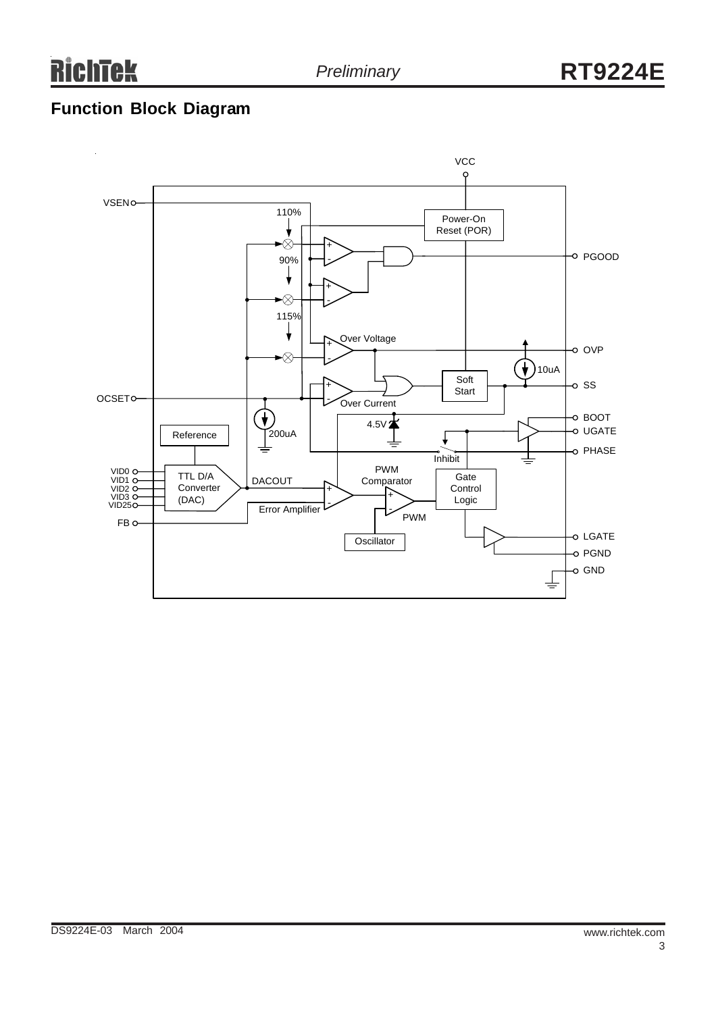## **Function Block Diagram**

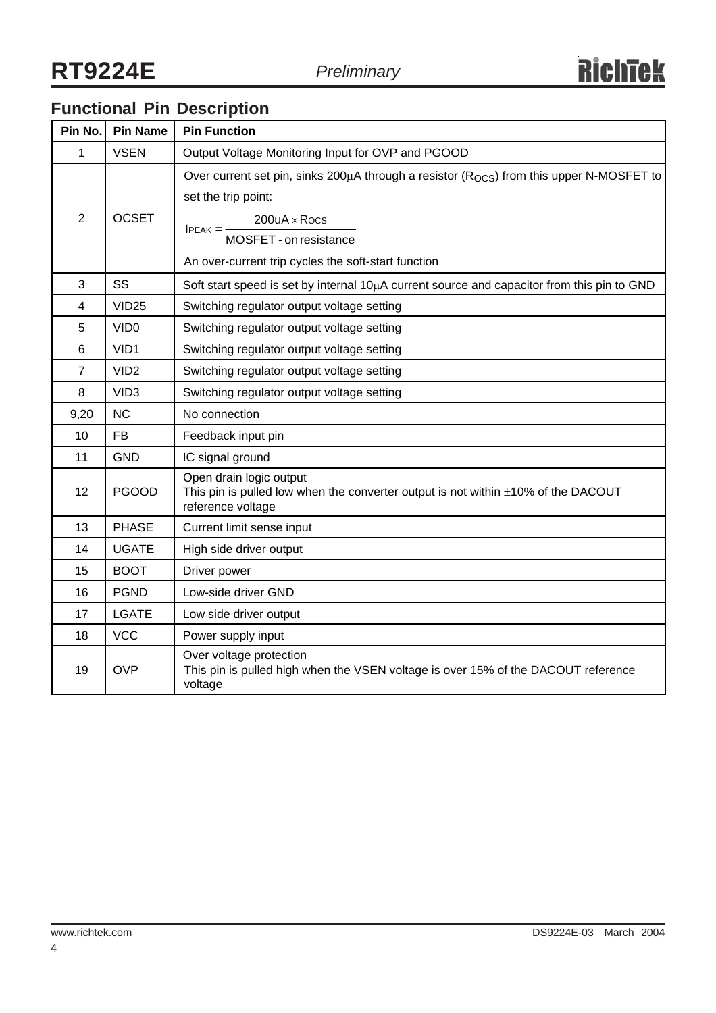# **Functional Pin Description**

| Pin No.                 | <b>Pin Name</b>  | <b>Pin Function</b>                                                                                                                                                                                                                                         |  |  |  |
|-------------------------|------------------|-------------------------------------------------------------------------------------------------------------------------------------------------------------------------------------------------------------------------------------------------------------|--|--|--|
| 1                       | <b>VSEN</b>      | Output Voltage Monitoring Input for OVP and PGOOD                                                                                                                                                                                                           |  |  |  |
| $\overline{2}$          | <b>OCSET</b>     | Over current set pin, sinks 200 $\mu$ A through a resistor ( $R_{OCS}$ ) from this upper N-MOSFET to<br>set the trip point:<br>$200uA \times Rocs$<br>$PEAK = \frac{1}{2}$<br>MOSFET - on resistance<br>An over-current trip cycles the soft-start function |  |  |  |
| 3                       | SS               | Soft start speed is set by internal $10\mu A$ current source and capacitor from this pin to GND                                                                                                                                                             |  |  |  |
| $\overline{\mathbf{4}}$ | <b>VID25</b>     | Switching regulator output voltage setting                                                                                                                                                                                                                  |  |  |  |
| 5                       | VID <sub>0</sub> | Switching regulator output voltage setting                                                                                                                                                                                                                  |  |  |  |
| 6                       | VID1             | Switching regulator output voltage setting                                                                                                                                                                                                                  |  |  |  |
| $\overline{7}$          | VID <sub>2</sub> | Switching regulator output voltage setting                                                                                                                                                                                                                  |  |  |  |
| 8                       | VID <sub>3</sub> | Switching regulator output voltage setting                                                                                                                                                                                                                  |  |  |  |
| 9,20                    | <b>NC</b>        | No connection                                                                                                                                                                                                                                               |  |  |  |
| 10                      | <b>FB</b>        | Feedback input pin                                                                                                                                                                                                                                          |  |  |  |
| 11                      | <b>GND</b>       | IC signal ground                                                                                                                                                                                                                                            |  |  |  |
| 12                      | <b>PGOOD</b>     | Open drain logic output<br>This pin is pulled low when the converter output is not within $\pm 10\%$ of the DACOUT<br>reference voltage                                                                                                                     |  |  |  |
| 13                      | <b>PHASE</b>     | Current limit sense input                                                                                                                                                                                                                                   |  |  |  |
| 14                      | <b>UGATE</b>     | High side driver output                                                                                                                                                                                                                                     |  |  |  |
| 15                      | <b>BOOT</b>      | Driver power                                                                                                                                                                                                                                                |  |  |  |
| 16                      | <b>PGND</b>      | Low-side driver GND                                                                                                                                                                                                                                         |  |  |  |
| 17                      | <b>LGATE</b>     | Low side driver output                                                                                                                                                                                                                                      |  |  |  |
| 18                      | <b>VCC</b>       | Power supply input                                                                                                                                                                                                                                          |  |  |  |
| 19                      | <b>OVP</b>       | Over voltage protection<br>This pin is pulled high when the VSEN voltage is over 15% of the DACOUT reference<br>voltage                                                                                                                                     |  |  |  |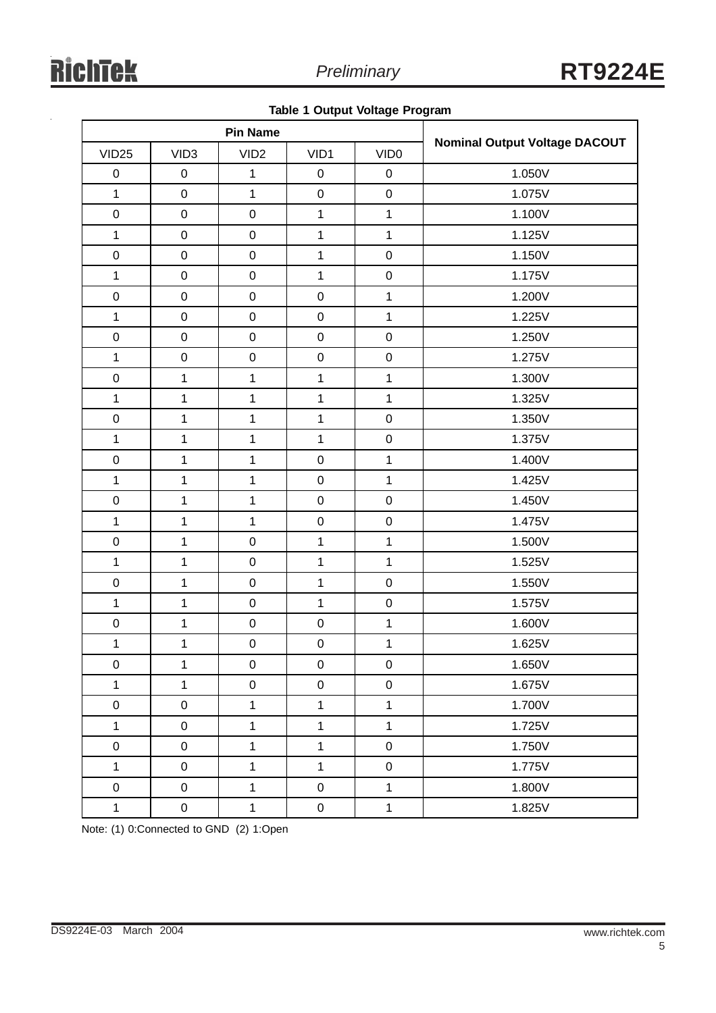|  |  |  | <b>Table 1 Output Voltage Program</b> |
|--|--|--|---------------------------------------|
|--|--|--|---------------------------------------|

| <b>Pin Name</b>   |                  |                  |                  |                  |                                      |  |
|-------------------|------------------|------------------|------------------|------------------|--------------------------------------|--|
| VID <sub>25</sub> | VID <sub>3</sub> | VID <sub>2</sub> | VID1             | VID <sub>0</sub> | <b>Nominal Output Voltage DACOUT</b> |  |
| $\pmb{0}$         | $\pmb{0}$        | $\mathbf{1}$     | $\pmb{0}$        | $\mathbf 0$      | 1.050V                               |  |
| $\mathbf{1}$      | $\pmb{0}$        | $\mathbf{1}$     | $\pmb{0}$        | $\mathbf 0$      | 1.075V                               |  |
| $\mathbf 0$       | $\pmb{0}$        | $\pmb{0}$        | $\mathbf{1}$     | $\mathbf 1$      | 1.100V                               |  |
| $\mathbf{1}$      | $\pmb{0}$        | $\pmb{0}$        | $\mathbf{1}$     | $\mathbf{1}$     | 1.125V                               |  |
| $\pmb{0}$         | $\pmb{0}$        | $\pmb{0}$        | $\mathbf{1}$     | $\mathbf 0$      | 1.150V                               |  |
| $\mathbf 1$       | $\mathbf 0$      | $\pmb{0}$        | $\mathbf{1}$     | $\mathbf 0$      | 1.175V                               |  |
| $\boldsymbol{0}$  | $\pmb{0}$        | $\pmb{0}$        | $\pmb{0}$        | $\mathbf 1$      | 1.200V                               |  |
| $\mathbf{1}$      | $\pmb{0}$        | $\mathbf 0$      | $\pmb{0}$        | $\mathbf 1$      | 1.225V                               |  |
| $\mathbf 0$       | $\pmb{0}$        | $\pmb{0}$        | $\pmb{0}$        | $\mathbf 0$      | 1.250V                               |  |
| $\mathbf 1$       | $\pmb{0}$        | $\pmb{0}$        | $\pmb{0}$        | $\mathbf 0$      | 1.275V                               |  |
| $\mathbf 0$       | 1                | $\mathbf{1}$     | $\mathbf{1}$     | $\mathbf{1}$     | 1.300V                               |  |
| $\mathbf{1}$      | $\mathbf{1}$     | $\mathbf{1}$     | $\mathbf{1}$     | $\mathbf{1}$     | 1.325V                               |  |
| $\mathbf 0$       | 1                | $\mathbf{1}$     | $\mathbf{1}$     | $\mathbf 0$      | 1.350V                               |  |
| $\mathbf{1}$      | $\mathbf{1}$     | $\mathbf{1}$     | $\mathbf{1}$     | $\mathbf 0$      | 1.375V                               |  |
| $\pmb{0}$         | 1                | $\mathbf{1}$     | $\mathbf 0$      | $\mathbf 1$      | 1.400V                               |  |
| $\mathbf 1$       | $\mathbf{1}$     | $\mathbf{1}$     | $\mathbf 0$      | $\mathbf{1}$     | 1.425V                               |  |
| $\mathbf 0$       | $\mathbf{1}$     | $\mathbf{1}$     | $\mathbf 0$      | $\mathbf 0$      | 1.450V                               |  |
| $\mathbf{1}$      | $\overline{1}$   | $\mathbf{1}$     | $\mathsf 0$      | $\mathsf 0$      | 1.475V                               |  |
| $\pmb{0}$         | 1                | $\pmb{0}$        | $\mathbf{1}$     | $\mathbf{1}$     | 1.500V                               |  |
| $\mathbf{1}$      | 1                | $\pmb{0}$        | $\mathbf{1}$     | $\mathbf{1}$     | 1.525V                               |  |
| $\mathbf 0$       | $\mathbf{1}$     | $\pmb{0}$        | $\mathbf{1}$     | $\mathbf 0$      | 1.550V                               |  |
| $\mathbf{1}$      | 1                | $\pmb{0}$        | $\mathbf{1}$     | $\mathbf 0$      | 1.575V                               |  |
| $\pmb{0}$         | $\mathbf{1}$     | $\pmb{0}$        | $\mathbf 0$      | $\mathbf{1}$     | 1.600V                               |  |
| $\mathbf 1$       | 1                | $\mathbf 0$      | $\mathbf 0$      | $\mathbf 1$      | 1.625V                               |  |
| $\pmb{0}$         | 1                | $\pmb{0}$        | $\boldsymbol{0}$ | 0                | 1.650V                               |  |
| $\mathbf{1}$      | $\mathbf{1}$     | $\pmb{0}$        | $\pmb{0}$        | $\mathbf 0$      | 1.675V                               |  |
| $\pmb{0}$         | $\pmb{0}$        | $\mathbf{1}$     | $\mathbf{1}$     | $\mathbf{1}$     | 1.700V                               |  |
| $\mathbf{1}$      | $\pmb{0}$        | $\mathbf 1$      | $\mathbf{1}$     | $\mathbf{1}$     | 1.725V                               |  |
| $\mathbf 0$       | $\pmb{0}$        | $\mathbf{1}$     | $\mathbf{1}$     | $\mathbf 0$      | 1.750V                               |  |
| $\mathbf{1}$      | $\pmb{0}$        | $\mathbf{1}$     | $\mathbf{1}$     | $\mathbf 0$      | 1.775V                               |  |
| $\pmb{0}$         | $\pmb{0}$        | $\mathbf{1}$     | $\pmb{0}$        | $\mathbf 1$      | 1.800V                               |  |
| $\mathbf{1}$      | $\mathbf 0$      | $\mathbf{1}$     | $\pmb{0}$        | $\mathbf{1}$     | 1.825V                               |  |

Note: (1) 0:Connected to GND (2) 1:Open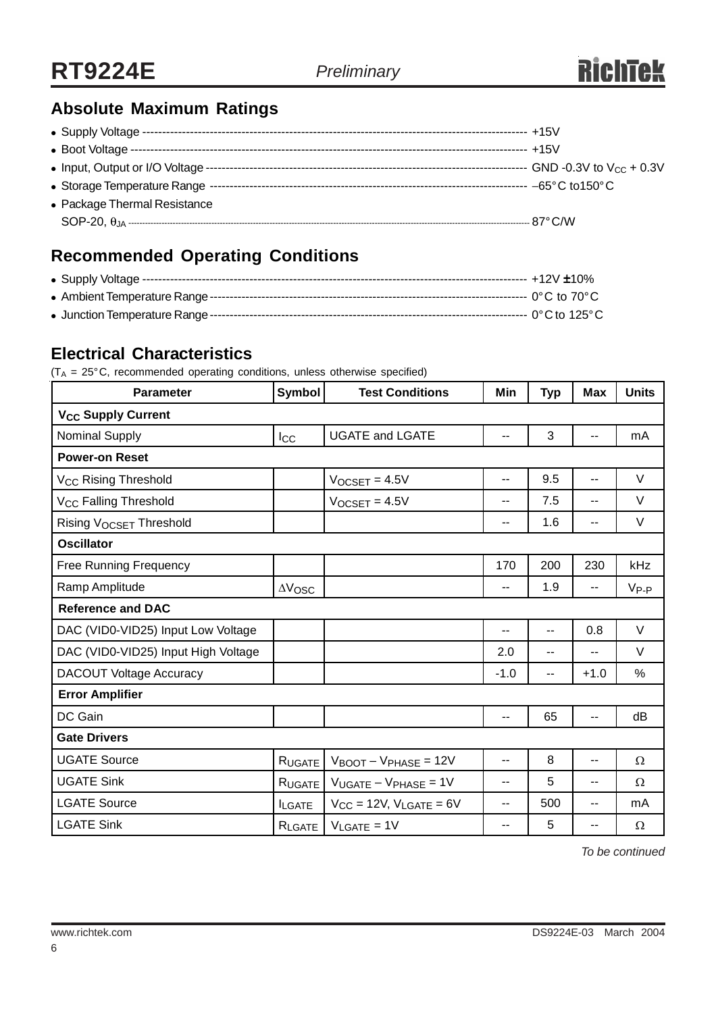## **Absolute Maximum Ratings**

| • Package Thermal Resistance |  |
|------------------------------|--|
|                              |  |

## **Recommended Operating Conditions**

#### **Electrical Characteristics**

 $(T_A = 25^{\circ}C$ , recommended operating conditions, unless otherwise specified)

| <b>Parameter</b>                     | <b>Symbol</b><br><b>Test Conditions</b> |                                            | Min    | <b>Typ</b>               | <b>Max</b>     | <b>Units</b> |  |
|--------------------------------------|-----------------------------------------|--------------------------------------------|--------|--------------------------|----------------|--------------|--|
| <b>V<sub>CC</sub> Supply Current</b> |                                         |                                            |        |                          |                |              |  |
| <b>Nominal Supply</b>                | $_{\text{Lcc}}$                         | <b>UGATE and LGATE</b>                     | --     | 3                        | $-$            | mA           |  |
| <b>Power-on Reset</b>                |                                         |                                            |        |                          |                |              |  |
| V <sub>CC</sub> Rising Threshold     |                                         | $V_{OCSET} = 4.5V$                         | ۰.     | 9.5                      | $\overline{a}$ | V            |  |
| V <sub>CC</sub> Falling Threshold    |                                         | $V_{OCSET} = 4.5V$                         | --     | 7.5                      | $-$            | $\vee$       |  |
| Rising V <sub>OCSET</sub> Threshold  |                                         |                                            | --     | 1.6                      | $\overline{a}$ | V            |  |
| <b>Oscillator</b>                    |                                         |                                            |        |                          |                |              |  |
| <b>Free Running Frequency</b>        |                                         |                                            | 170    | 200                      | 230            | kHz          |  |
| Ramp Amplitude                       | $\Delta \rm V_{\rm OSC}$                |                                            | --     | 1.9                      | --             | $V_{P-P}$    |  |
| <b>Reference and DAC</b>             |                                         |                                            |        |                          |                |              |  |
| DAC (VID0-VID25) Input Low Voltage   |                                         |                                            | --     | $-$                      | 0.8            | V            |  |
| DAC (VID0-VID25) Input High Voltage  |                                         |                                            | 2.0    | $\overline{\phantom{a}}$ | $-$            | $\vee$       |  |
| <b>DACOUT Voltage Accuracy</b>       |                                         |                                            | $-1.0$ | $-$                      | $+1.0$         | %            |  |
| <b>Error Amplifier</b>               |                                         |                                            |        |                          |                |              |  |
| DC Gain                              |                                         |                                            | --     | 65                       | $\overline{a}$ | dB           |  |
| <b>Gate Drivers</b>                  |                                         |                                            |        |                          |                |              |  |
| <b>UGATE Source</b>                  | RUGATE                                  | $V_{\text{BOOT}} - V_{\text{PHASE}} = 12V$ | --     | 8                        | $\overline{a}$ | $\Omega$     |  |
| <b>UGATE Sink</b>                    | RUGATE                                  | $V_{UGATE} - V_{PHASE} = 1V$               | --     | 5                        | --             | $\Omega$     |  |
| <b>LGATE Source</b>                  | <b>ILGATE</b>                           | $V_{CC}$ = 12V, $V_{LGATE}$ = 6V           | --     | 500                      | $-1$           | mA           |  |
| <b>LGATE Sink</b>                    | RLGATE                                  | $V_{LGATE} = 1V$                           | --     | 5                        | --             | $\Omega$     |  |

*To be continued*

6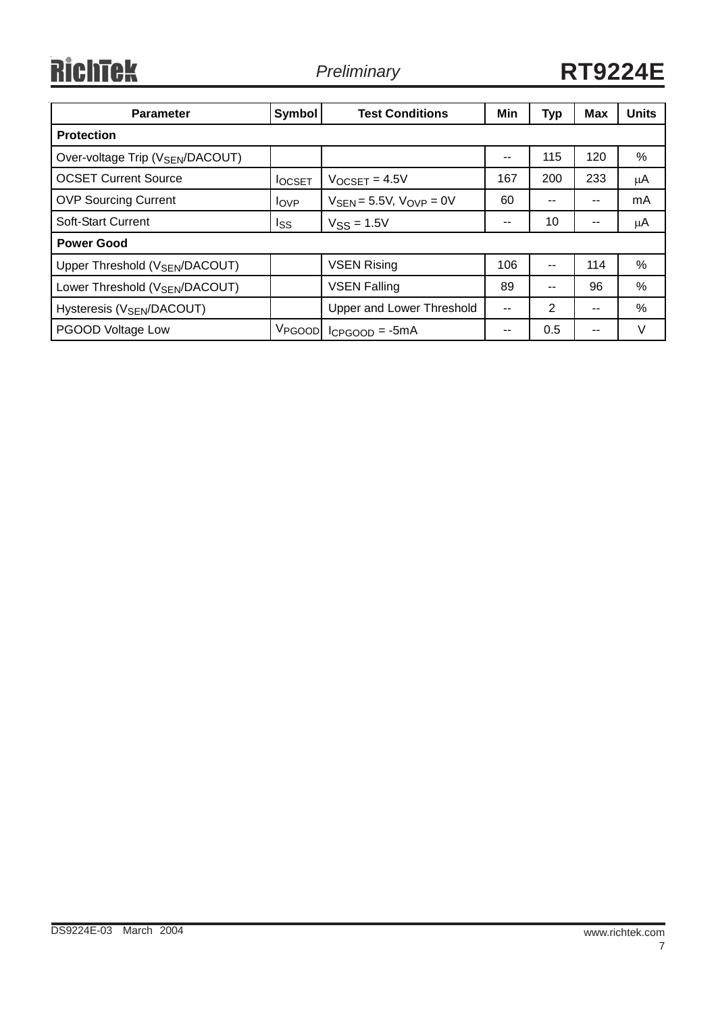# RichTek

| <b>Parameter</b>                             | Symbol             | <b>Test Conditions</b>                          | Min                      | <b>Typ</b> | <b>Max</b> | <b>Units</b> |
|----------------------------------------------|--------------------|-------------------------------------------------|--------------------------|------------|------------|--------------|
| <b>Protection</b>                            |                    |                                                 |                          |            |            |              |
| Over-voltage Trip (V <sub>SEN</sub> /DACOUT) |                    |                                                 | --                       | 115        | 120        | $\%$         |
| <b>OCSET Current Source</b>                  | <b>I</b> OCSET     | $V$ <sub>OCSET</sub> = 4.5V                     | 167                      | 200        | 233        | μA           |
| <b>OVP Sourcing Current</b>                  | $I_{OVP}$          | $V_{\text{SEN}} = 5.5V$ , $V_{\text{OVP}} = 0V$ | 60                       |            |            | mA           |
| Soft-Start Current                           | Iss                | $V$ <sub>SS</sub> = 1.5V                        | --                       | 10         | --         | μA           |
| <b>Power Good</b>                            |                    |                                                 |                          |            |            |              |
| Upper Threshold (V <sub>SEN</sub> /DACOUT)   |                    | <b>VSEN Rising</b>                              | 106                      | --         | 114        | %            |
| Lower Threshold (V <sub>SEN</sub> /DACOUT)   |                    | <b>VSEN Falling</b>                             | 89                       |            | 96         | %            |
| Hysteresis (V <sub>SEN</sub> /DACOUT)        |                    | Upper and Lower Threshold                       | $\overline{\phantom{a}}$ | 2          | --         | $\%$         |
| PGOOD Voltage Low                            | V <sub>PGOOD</sub> | $lcp$ <sub>GOOD</sub> = $-5mA$                  | $- -$                    | 0.5        | --         | $\vee$       |